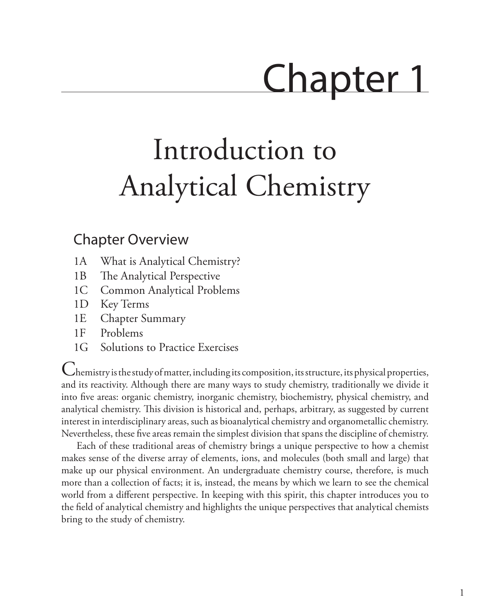# Chapter 1

# Introduction to Analytical Chemistry

# <span id="page-0-0"></span>Chapter Overview

- 1A [What is Analytical Chemistry?](#page-1-0)
- 1B [The Analytical Perspective](#page-4-0)
- 1C [Common Analytical Problems](#page-6-0)
- 1D [Key Terms](#page-7-0)
- 1E [Chapter Summary](#page-7-1)
- 1F [Problems](#page-8-0)
- 1G [Solutions to Practice Exercises](#page-9-0)

Chemistry is the study of matter, including its composition, its structure, its physical properties, and its reactivity. Although there are many ways to study chemistry, traditionally we divide it into five areas: organic chemistry, inorganic chemistry, biochemistry, physical chemistry, and analytical chemistry. This division is historical and, perhaps, arbitrary, as suggested by current interest in interdisciplinary areas, such as bioanalytical chemistry and organometallic chemistry. Nevertheless, these five areas remain the simplest division that spans the discipline of chemistry.

Each of these traditional areas of chemistry brings a unique perspective to how a chemist makes sense of the diverse array of elements, ions, and molecules (both small and large) that make up our physical environment. An undergraduate chemistry course, therefore, is much more than a collection of facts; it is, instead, the means by which we learn to see the chemical world from a different perspective. In keeping with this spirit, this chapter introduces you to the field of analytical chemistry and highlights the unique perspectives that analytical chemists bring to the study of chemistry.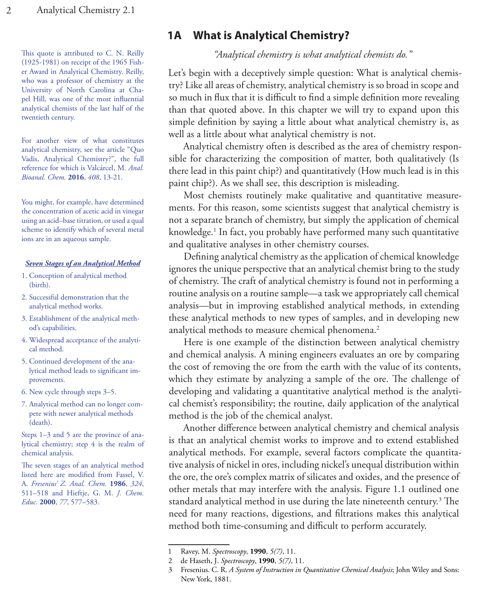This quote is attributed to C. N. Reilly (1925-1981) on receipt of the 1965 Fisher Award in Analytical Chemistry. Reilly, who was a professor of chemistry at the University of North Carolina at Chapel Hill, was one of the most influential analytical chemists of the last half of the twentieth century.

For another view of what constitutes analytical chemistry, see the article "Quo Vadis, Analytical Chemistry?", the full reference for which is Valcárcel, M. *Anal. Bioanal. Chem.* **2016**, *408*, 13-21.

You might, for example, have determined the concentration of acetic acid in vinegar using an acid–base titration, or used a qual scheme to identify which of several metal ions are in an aqueous sample.

#### *Seven Stages of an Analytical Method*

- 1. Conception of analytical method (birth).
- 2. Successful demonstration that the analytical method works.
- 3. Establishment of the analytical method's capabilities.
- 4. Widespread acceptance of the analytical method.
- 5. Continued development of the analytical method leads to significant improvements.
- 6. New cycle through steps 3–5.
- 7. Analytical method can no longer compete with newer analytical methods (death).

Steps 1–3 and 5 are the province of analytical chemistry; step 4 is the realm of chemical analysis.

The seven stages of an analytical method listed here are modified from Fassel, V. A. *Fresenius' Z. Anal. Chem.* **1986**, *324*, 511–518 and Hieftje, G. M. *J. Chem. Educ.* **2000**, *77*, 577–583.

# <span id="page-1-0"></span>**1A What is Analytical Chemistry?**

*"Analytical chemistry is what analytical chemists do."*

Let's begin with a deceptively simple question: What is analytical chemistry? Like all areas of chemistry, analytical chemistry is so broad in scope and so much in flux that it is difficult to find a simple definition more revealing than that quoted above. In this chapter we will try to expand upon this simple definition by saying a little about what analytical chemistry is, as well as a little about what analytical chemistry is not.

Analytical chemistry often is described as the area of chemistry responsible for characterizing the composition of matter, both qualitatively (Is there lead in this paint chip?) and quantitatively (How much lead is in this paint chip?). As we shall see, this description is misleading.

Most chemists routinely make qualitative and quantitative measurements. For this reason, some scientists suggest that analytical chemistry is not a separate branch of chemistry, but simply the application of chemical knowledge.1 In fact, you probably have performed many such quantitative and qualitative analyses in other chemistry courses.

Defining analytical chemistry as the application of chemical knowledge ignores the unique perspective that an analytical chemist bring to the study of chemistry. The craft of analytical chemistry is found not in performing a routine analysis on a routine sample—a task we appropriately call chemical analysis—but in improving established analytical methods, in extending these analytical methods to new types of samples, and in developing new analytical methods to measure chemical phenomena.<sup>2</sup>

Here is one example of the distinction between analytical chemistry and chemical analysis. A mining engineers evaluates an ore by comparing the cost of removing the ore from the earth with the value of its contents, which they estimate by analyzing a sample of the ore. The challenge of developing and validating a quantitative analytical method is the analytical chemist's responsibility; the routine, daily application of the analytical method is the job of the chemical analyst.

Another difference between analytical chemistry and chemical analysis is that an analytical chemist works to improve and to extend established analytical methods. For example, several factors complicate the quantitative analysis of nickel in ores, including nickel's unequal distribution within the ore, the ore's complex matrix of silicates and oxides, and the presence of other metals that may interfere with the analysis. Figure 1.1 outlined one standard analytical method in use during the late nineteenth century.3 The need for many reactions, digestions, and filtrations makes this analytical method both time-consuming and difficult to perform accurately.

<sup>1</sup> Ravey, M. *Spectroscopy*, **1990**, *5(7)*, 11.

<sup>2</sup> de Haseth, J. *Spectroscopy*, **1990**, *5(7)*, 11.

<sup>3</sup> Fresenius. C. R. *A System of Instruction in Quantitative Chemical Analysis*; John Wiley and Sons: New York, 1881.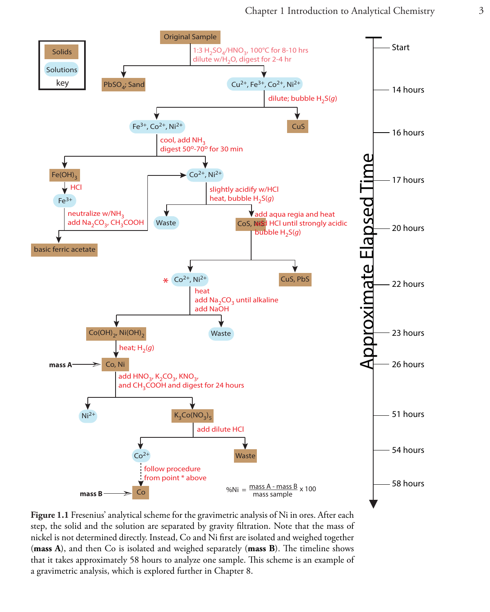<span id="page-2-0"></span>

**Figure 1.1** Fresenius' analytical scheme for the gravimetric analysis of Ni in ores. After each step, the solid and the solution are separated by gravity filtration. Note that the mass of nickel is not determined directly. Instead, Co and Ni first are isolated and weighed together (**mass A**), and then Co is isolated and weighed separately (**mass B**). The timeline shows that it takes approximately 58 hours to analyze one sample. This scheme is an example of a gravimetric analysis, which is explored further in Chapter 8.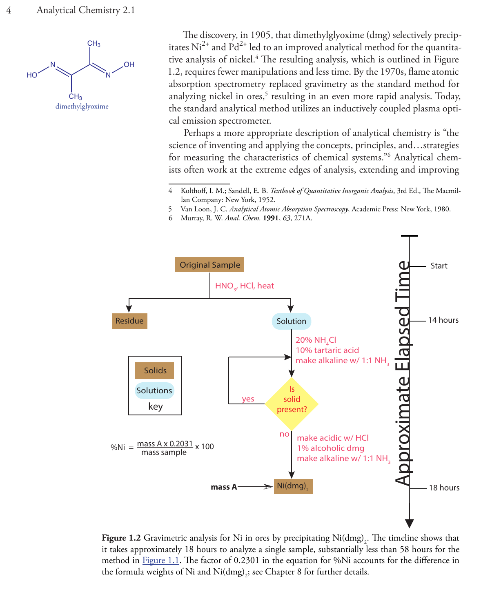

The discovery, in 1905, that dimethylglyoxime (dmg) selectively precipitates  $Ni^{2+}$  and  $Pd^{2+}$  led to an improved analytical method for the quantitative analysis of nickel.<sup>4</sup> The resulting analysis, which is outlined in Figure 1.2, requires fewer manipulations and less time. By the 1970s, flame atomic absorption spectrometry replaced gravimetry as the standard method for analyzing nickel in ores,<sup>5</sup> resulting in an even more rapid analysis. Today, the standard analytical method utilizes an inductively coupled plasma optical emission spectrometer.

Perhaps a more appropriate description of analytical chemistry is "the science of inventing and applying the concepts, principles, and…strategies for measuring the characteristics of chemical systems."6 Analytical chemists often work at the extreme edges of analysis, extending and improving

5 Van Loon, J. C. *Analytical Atomic Absorption Spectroscopy*, Academic Press: New York, 1980.

<sup>6</sup> Murray, R. W. *Anal. Chem.* **1991**, *63*, 271A.



**Figure 1.2** Gravimetric analysis for Ni in ores by precipitating  $\text{Ni(dmg)}_2$ . The timeline shows that it takes approximately 18 hours to analyze a single sample, substantially less than 58 hours for the method in [Figure 1.1.](#page-2-0) The factor of 0.2301 in the equation for %Ni accounts for the difference in the formula weights of Ni and Ni $(\text{dmg})_2$ ; see Chapter 8 for further details.

<sup>4</sup> Kolthoff, I. M.; Sandell, E. B. *Textbook of Quantitative Inorganic Analysis*, 3rd Ed., The Macmillan Company: New York, 1952.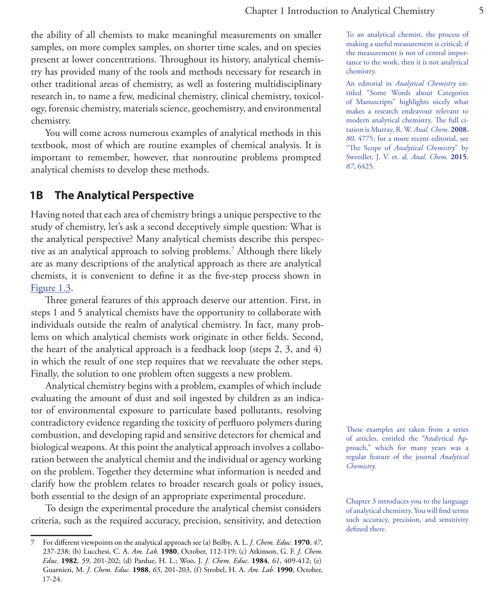the ability of all chemists to make meaningful measurements on smaller samples, on more complex samples, on shorter time scales, and on species present at lower concentrations. Throughout its history, analytical chemistry has provided many of the tools and methods necessary for research in other traditional areas of chemistry, as well as fostering multidisciplinary research in, to name a few, medicinal chemistry, clinical chemistry, toxicology, forensic chemistry, materials science, geochemistry, and environmental chemistry.

You will come across numerous examples of analytical methods in this textbook, most of which are routine examples of chemical analysis. It is important to remember, however, that nonroutine problems prompted analytical chemists to develop these methods.

# <span id="page-4-0"></span>**1B The Analytical Perspective**

Having noted that each area of chemistry brings a unique perspective to the study of chemistry, let's ask a second deceptively simple question: What is the analytical perspective? Many analytical chemists describe this perspective as an analytical approach to solving problems.7 Although there likely are as many descriptions of the analytical approach as there are analytical chemists, it is convenient to define it as the five-step process shown in [Figure 1.3](#page-5-0).

Three general features of this approach deserve our attention. First, in steps 1 and 5 analytical chemists have the opportunity to collaborate with individuals outside the realm of analytical chemistry. In fact, many problems on which analytical chemists work originate in other fields. Second, the heart of the analytical approach is a feedback loop (steps 2, 3, and 4) in which the result of one step requires that we reevaluate the other steps. Finally, the solution to one problem often suggests a new problem.

Analytical chemistry begins with a problem, examples of which include evaluating the amount of dust and soil ingested by children as an indicator of environmental exposure to particulate based pollutants, resolving contradictory evidence regarding the toxicity of perfluoro polymers during combustion, and developing rapid and sensitive detectors for chemical and biological weapons. At this point the analytical approach involves a collaboration between the analytical chemist and the individual or agency working on the problem. Together they determine what information is needed and clarify how the problem relates to broader research goals or policy issues, both essential to the design of an appropriate experimental procedure.

To design the experimental procedure the analytical chemist considers criteria, such as the required accuracy, precision, sensitivity, and detection To an analytical chemist, the process of making a useful measurement is critical; if the measurement is not of central importance to the work, then it is not analytical chemistry.

An editorial in *Analytical Chemistry* entitled "Some Words about Categories of Manuscripts" highlights nicely what makes a research endeavour relevant to modern analytical chemistry. The full citation is Murray, R. W. *Anal. Chem.* **2008**, *80*, 4775; for a more recent editorial, see "The Scope of *Analytical Chemistry*" by Sweedler, J. V. et. al. *Anal. Chem.* **2015**, *87*, 6425.

These examples are taken from a series of articles, entitled the "Analytical Approach," which for many years was a regular feature of the journal *Analytical Chemistry*.

<sup>7</sup> For different viewpoints on the analytical approach see (a) Beilby, A. L. *J. Chem. Educ.* **1970**, *47*, 237-238; (b) Lucchesi, C. A. *Am. Lab.* **1980**, October, 112-119; (c) Atkinson, G. F. *J. Chem. Educ.* **1982**, *59*, 201-202; (d) Pardue, H. L.; Woo, J. *J. Chem. Educ.* **1984**, *61*, 409-412; (e) Guarnieri, M. *J. Chem. Educ.* **1988**, *65*, 201-203, (f) Strobel, H. A. *Am. Lab.* **1990**, October, 17-24.

Chapter 3 introduces you to the language of analytical chemistry. You will find terms such accuracy, precision, and sensitivity defined there.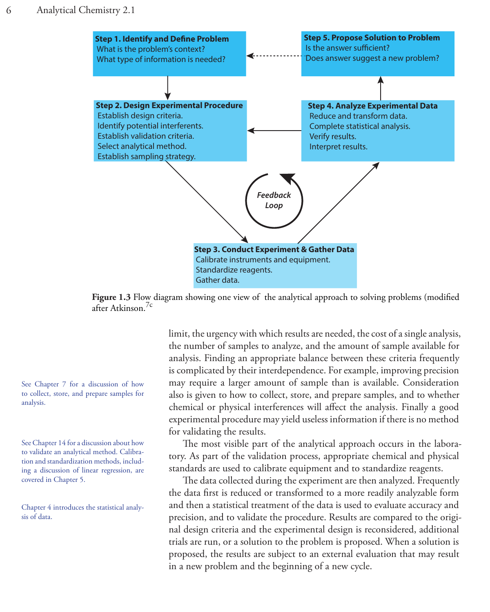<span id="page-5-0"></span>

**Figure 1.3** Flow diagram showing one view of the analytical approach to solving problems (modified after Atkinson.7c

See Chapter 7 for a discussion of how to collect, store, and prepare samples for analysis.

See Chapter 14 for a discussion about how to validate an analytical method. Calibration and standardization methods, including a discussion of linear regression, are covered in Chapter 5.

Chapter 4 introduces the statistical analysis of data.

limit, the urgency with which results are needed, the cost of a single analysis, the number of samples to analyze, and the amount of sample available for analysis. Finding an appropriate balance between these criteria frequently is complicated by their interdependence. For example, improving precision may require a larger amount of sample than is available. Consideration also is given to how to collect, store, and prepare samples, and to whether chemical or physical interferences will affect the analysis. Finally a good experimental procedure may yield useless information if there is no method for validating the results.

The most visible part of the analytical approach occurs in the laboratory. As part of the validation process, appropriate chemical and physical standards are used to calibrate equipment and to standardize reagents.

The data collected during the experiment are then analyzed. Frequently the data first is reduced or transformed to a more readily analyzable form and then a statistical treatment of the data is used to evaluate accuracy and precision, and to validate the procedure. Results are compared to the original design criteria and the experimental design is reconsidered, additional trials are run, or a solution to the problem is proposed. When a solution is proposed, the results are subject to an external evaluation that may result in a new problem and the beginning of a new cycle.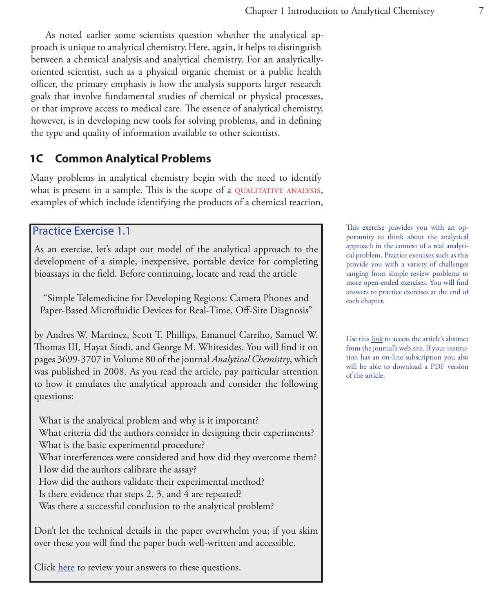As noted earlier some scientists question whether the analytical approach is unique to analytical chemistry.Here, again, it helps to distinguish between a chemical analysis and analytical chemistry. For an analyticallyoriented scientist, such as a physical organic chemist or a public health officer, the primary emphasis is how the analysis supports larger research goals that involve fundamental studies of chemical or physical processes, or that improve access to medical care. The essence of analytical chemistry, however, is in developing new tools for solving problems, and in defining the type and quality of information available to other scientists.

# <span id="page-6-0"></span>**1C Common Analytical Problems**

Many problems in analytical chemistry begin with the need to identify what is present in a sample. This is the scope of a QUALITATIVE ANALYSIS, examples of which include identifying the products of a chemical reaction,

## <span id="page-6-1"></span>Practice Exercise 1.1

As an exercise, let's adapt our model of the analytical approach to the development of a simple, inexpensive, portable device for completing bioassays in the field. Before continuing, locate and read the article

"Simple Telemedicine for Developing Regions: Camera Phones and Paper-Based Microfluidic Devices for Real-Time, Off-Site Diagnosis"

by Andres W. Martinez, Scott T. Phillips, Emanuel Carriho, Samuel W. Thomas III, Hayat Sindi, and George M. Whitesides. You will find it on pages 3699-3707 in Volume 80 of the journal *Analytical Chemistry*, which was published in 2008. As you read the article, pay particular attention to how it emulates the analytical approach and consider the following questions:

What is the analytical problem and why is it important? What criteria did the authors consider in designing their experiments? What is the basic experimental procedure? What interferences were considered and how did they overcome them?

How did the authors calibrate the assay?

How did the authors validate their experimental method?

Is there evidence that steps 2, 3, and 4 are repeated?

Was there a successful conclusion to the analytical problem?

Don't let the technical details in the paper overwhelm you; if you skim over these you will find the paper both well-written and accessible.

Click [here](#page-9-1) to review your answers to these questions.

This exercise provides you with an opportunity to think about the analytical approach in the context of a real analytical problem. Practice exercises such as this provide you with a variety of challenges ranging from simple review problems to more open-ended exercises. You will find answers to practice exercises at the end of each chapter.

Use this [link](http://doi.org/10.1021/ac800112r) to access the article's abstract from the journal's web site. If your institution has an on-line subscription you also will be able to download a PDF version of the article.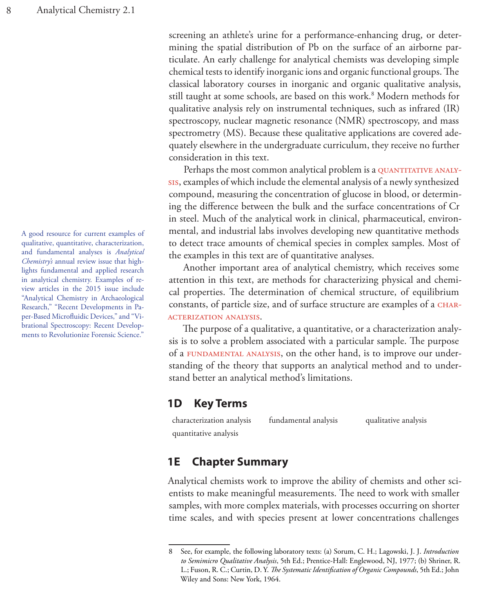A good resource for current examples of qualitative, quantitative, characterization, and fundamental analyses is *Analytical Chemistry's* annual review issue that highlights fundamental and applied research in analytical chemistry. Examples of review articles in the 2015 issue include "Analytical Chemistry in Archaeological Research," "Recent Developments in Paper-Based Microfluidic Devices," and "Vibrational Spectroscopy: Recent Developments to Revolutionize Forensic Science."

screening an athlete's urine for a performance-enhancing drug, or determining the spatial distribution of Pb on the surface of an airborne particulate. An early challenge for analytical chemists was developing simple chemical tests to identify inorganic ions and organic functional groups. The classical laboratory courses in inorganic and organic qualitative analysis, still taught at some schools, are based on this work.8 Modern methods for qualitative analysis rely on instrumental techniques, such as infrared (IR) spectroscopy, nuclear magnetic resonance (NMR) spectroscopy, and mass spectrometry (MS). Because these qualitative applications are covered adequately elsewhere in the undergraduate curriculum, they receive no further consideration in this text.

Perhaps the most common analytical problem is a QUANTITATIVE ANALYsis, examples of which include the elemental analysis of a newly synthesized compound, measuring the concentration of glucose in blood, or determining the difference between the bulk and the surface concentrations of Cr in steel. Much of the analytical work in clinical, pharmaceutical, environmental, and industrial labs involves developing new quantitative methods to detect trace amounts of chemical species in complex samples. Most of the examples in this text are of quantitative analyses.

Another important area of analytical chemistry, which receives some attention in this text, are methods for characterizing physical and chemical properties. The determination of chemical structure, of equilibrium constants, of particle size, and of surface structure are examples of a CHARacterization analysis.

The purpose of a qualitative, a quantitative, or a characterization analysis is to solve a problem associated with a particular sample. The purpose of a FUNDAMENTAL ANALYSIS, on the other hand, is to improve our understanding of the theory that supports an analytical method and to understand better an analytical method's limitations.

## <span id="page-7-0"></span>**1D Key Terms**

characterization analysis fundamental analysis qualitative analysis quantitative analysis

# <span id="page-7-1"></span>**1E Chapter Summary**

Analytical chemists work to improve the ability of chemists and other scientists to make meaningful measurements. The need to work with smaller samples, with more complex materials, with processes occurring on shorter time scales, and with species present at lower concentrations challenges

<sup>8</sup> See, for example, the following laboratory texts: (a) Sorum, C. H.; Lagowski, J. J. *Introduction to Semimicro Qualitative Analysis*, 5th Ed.; Prentice-Hall: Englewood, NJ, 1977; (b) Shriner, R. L.; Fuson, R. C.; Curtin, D. Y. *The Systematic Identification of Organic Compounds*, 5th Ed.; John Wiley and Sons: New York, 1964.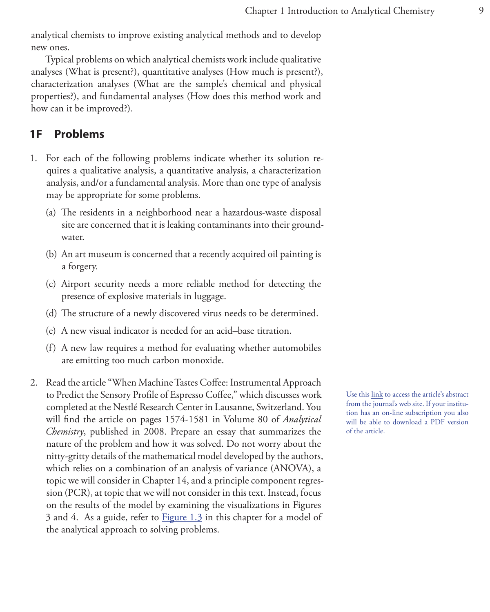analytical chemists to improve existing analytical methods and to develop new ones.

Typical problems on which analytical chemists work include qualitative analyses (What is present?), quantitative analyses (How much is present?), characterization analyses (What are the sample's chemical and physical properties?), and fundamental analyses (How does this method work and how can it be improved?).

# <span id="page-8-0"></span>**1F Problems**

- 1. For each of the following problems indicate whether its solution requires a qualitative analysis, a quantitative analysis, a characterization analysis, and/or a fundamental analysis. More than one type of analysis may be appropriate for some problems.
	- (a) The residents in a neighborhood near a hazardous-waste disposal site are concerned that it is leaking contaminants into their groundwater.
	- (b) An art museum is concerned that a recently acquired oil painting is a forgery.
	- (c) Airport security needs a more reliable method for detecting the presence of explosive materials in luggage.
	- (d) The structure of a newly discovered virus needs to be determined.
	- (e) A new visual indicator is needed for an acid–base titration.
	- (f) A new law requires a method for evaluating whether automobiles are emitting too much carbon monoxide.
- 2. Read the article "When Machine Tastes Coffee: Instrumental Approach to Predict the Sensory Profile of Espresso Coffee," which discusses work completed at the Nestlé Research Center in Lausanne, Switzerland. You will find the article on pages 1574-1581 in Volume 80 of *Analytical Chemistry*, published in 2008. Prepare an essay that summarizes the nature of the problem and how it was solved. Do not worry about the nitty-gritty details of the mathematical model developed by the authors, which relies on a combination of an analysis of variance (ANOVA), a topic we will consider in Chapter 14, and a principle component regression (PCR), at topic that we will not consider in this text. Instead, focus on the results of the model by examining the visualizations in Figures 3 and 4. As a guide, refer to [Figure 1.3](#page-5-0) in this chapter for a model of the analytical approach to solving problems.

Use this [link](http://doi.org/10.1021/ac702196z) to access the article's abstract from the journal's web site. If your institution has an on-line subscription you also will be able to download a PDF version of the article.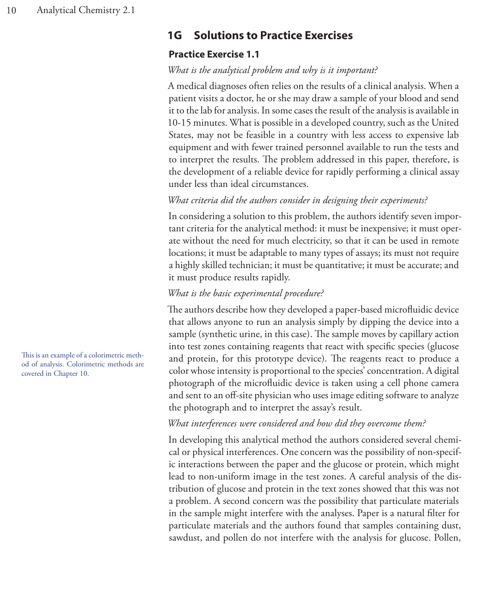# <span id="page-9-0"></span>**1G Solutions to Practice Exercises**

# <span id="page-9-1"></span>**Practice Exercise 1.1**

# *What is the analytical problem and why is it important?*

A medical diagnoses often relies on the results of a clinical analysis. When a patient visits a doctor, he or she may draw a sample of your blood and send it to the lab for analysis. In some cases the result of the analysis is available in 10-15 minutes. What is possible in a developed country, such as the United States, may not be feasible in a country with less access to expensive lab equipment and with fewer trained personnel available to run the tests and to interpret the results. The problem addressed in this paper, therefore, is the development of a reliable device for rapidly performing a clinical assay under less than ideal circumstances.

# *What criteria did the authors consider in designing their experiments?*

In considering a solution to this problem, the authors identify seven important criteria for the analytical method: it must be inexpensive; it must operate without the need for much electricity, so that it can be used in remote locations; it must be adaptable to many types of assays; its must not require a highly skilled technician; it must be quantitative; it must be accurate; and it must produce results rapidly.

# *What is the basic experimental procedure?*

The authors describe how they developed a paper-based microfluidic device that allows anyone to run an analysis simply by dipping the device into a sample (synthetic urine, in this case). The sample moves by capillary action into test zones containing reagents that react with specific species (glucose and protein, for this prototype device). The reagents react to produce a color whose intensity is proportional to the species' concentration. A digital photograph of the microfluidic device is taken using a cell phone camera and sent to an off-site physician who uses image editing software to analyze the photograph and to interpret the assay's result.

## *What interferences were considered and how did they overcome them?*

In developing this analytical method the authors considered several chemical or physical interferences. One concern was the possibility of non-specific interactions between the paper and the glucose or protein, which might lead to non-uniform image in the test zones. A careful analysis of the distribution of glucose and protein in the text zones showed that this was not a problem. A second concern was the possibility that particulate materials in the sample might interfere with the analyses. Paper is a natural filter for particulate materials and the authors found that samples containing dust, sawdust, and pollen do not interfere with the analysis for glucose. Pollen,

This is an example of a colorimetric method of analysis. Colorimetric methods are covered in Chapter 10.